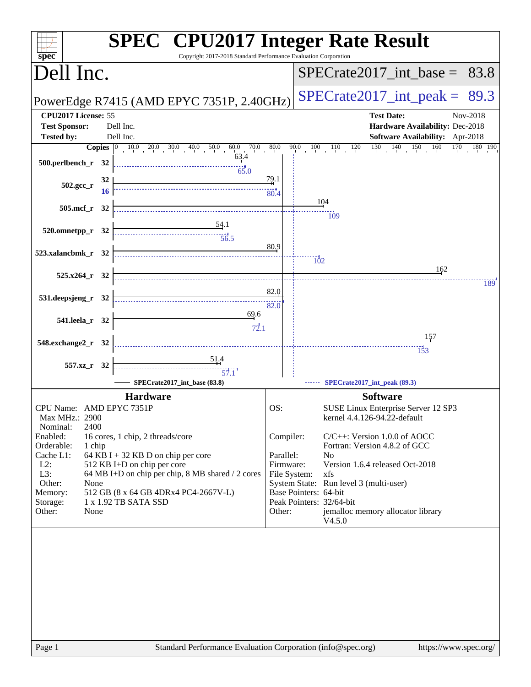| $spec^*$                                                                                     | <b>SPEC<sup>®</sup></b> CPU2017 Integer Rate Result<br>Copyright 2017-2018 Standard Performance Evaluation Corporation                                                                                           |                                                            |                                                                                                                                                                                                                                                                                          |
|----------------------------------------------------------------------------------------------|------------------------------------------------------------------------------------------------------------------------------------------------------------------------------------------------------------------|------------------------------------------------------------|------------------------------------------------------------------------------------------------------------------------------------------------------------------------------------------------------------------------------------------------------------------------------------------|
| Dell Inc.                                                                                    |                                                                                                                                                                                                                  |                                                            | $SPECTate2017\_int\_base = 83.8$                                                                                                                                                                                                                                                         |
|                                                                                              | PowerEdge R7415 (AMD EPYC 7351P, 2.40GHz)                                                                                                                                                                        |                                                            | $SPECrate2017\_int\_peak =$<br>89.3                                                                                                                                                                                                                                                      |
| CPU2017 License: 55<br><b>Test Sponsor:</b><br><b>Tested by:</b>                             | Dell Inc.<br>Dell Inc.<br>63.4                                                                                                                                                                                   |                                                            | <b>Test Date:</b><br>Nov-2018<br>Hardware Availability: Dec-2018<br>Software Availability: Apr-2018<br><b>Copies</b> $\begin{bmatrix} 0 & 10 & 0 & 20 & 0 & 30 & 0 & 40 & 0 & 50 & 0 & 60 & 0 & 70 & 0 & 80 & 0 & 90 & 10 & 11 & 12 & 13 & 14 & 15 & 16 & 170 & 180 & 190 \end{bmatrix}$ |
| $502.\text{gcc}_{r}$                                                                         | 500.perlbench_r 32 $\frac{6}{1}$<br>65.0<br>32                                                                                                                                                                   |                                                            |                                                                                                                                                                                                                                                                                          |
|                                                                                              | 505.mcf_r 32                                                                                                                                                                                                     |                                                            | 104<br><br>109                                                                                                                                                                                                                                                                           |
|                                                                                              | 520.omnetpp_r 32 $\frac{54.1}{56.5}$                                                                                                                                                                             | 80.9                                                       |                                                                                                                                                                                                                                                                                          |
| 523.xalancbmk_r 32<br>$525.x264_r$ 32                                                        |                                                                                                                                                                                                                  |                                                            | $\overline{102}$<br>162<br>189                                                                                                                                                                                                                                                           |
| 531.deepsjeng_r 32                                                                           |                                                                                                                                                                                                                  | 82.0                                                       |                                                                                                                                                                                                                                                                                          |
| 541.leela r 32<br>548.exchange2_r 32                                                         | $\underbrace{69.6}_{72.1}$                                                                                                                                                                                       |                                                            |                                                                                                                                                                                                                                                                                          |
|                                                                                              | $\begin{array}{c}\n 51.4 \\  \hline\n 57.1\n\end{array}$<br>557.xz_r 32<br>SPECrate2017_int_base (83.8)                                                                                                          |                                                            | SPECrate2017_int_peak (89.3)                                                                                                                                                                                                                                                             |
|                                                                                              | <b>Hardware</b>                                                                                                                                                                                                  |                                                            | <b>Software</b>                                                                                                                                                                                                                                                                          |
| Max MHz.: 2900<br>Nominal:<br>Enabled:<br>Orderable:<br>Cache L1:<br>$L2$ :<br>L3:<br>Other: | CPU Name: AMD EPYC 7351P<br>2400<br>16 cores, 1 chip, 2 threads/core<br>1 chip<br>64 KB I + 32 KB D on chip per core<br>512 KB I+D on chip per core<br>64 MB I+D on chip per chip, 8 MB shared / 2 cores<br>None | OS:<br>Compiler:<br>Parallel:<br>Firmware:<br>File System: | SUSE Linux Enterprise Server 12 SP3<br>kernel 4.4.126-94.22-default<br>$C/C++$ : Version 1.0.0 of AOCC<br>Fortran: Version 4.8.2 of GCC<br>N <sub>0</sub><br>Version 1.6.4 released Oct-2018<br>xfs<br>System State: Run level 3 (multi-user)                                            |
| Memory:<br>Storage:<br>Other:                                                                | 512 GB (8 x 64 GB 4DRx4 PC4-2667V-L)<br>1 x 1.92 TB SATA SSD<br>None                                                                                                                                             | Other:                                                     | Base Pointers: 64-bit<br>Peak Pointers: 32/64-bit<br>jemalloc memory allocator library<br>V4.5.0                                                                                                                                                                                         |
|                                                                                              |                                                                                                                                                                                                                  |                                                            |                                                                                                                                                                                                                                                                                          |
| Page 1                                                                                       | Standard Performance Evaluation Corporation (info@spec.org)                                                                                                                                                      |                                                            | https://www.spec.org/                                                                                                                                                                                                                                                                    |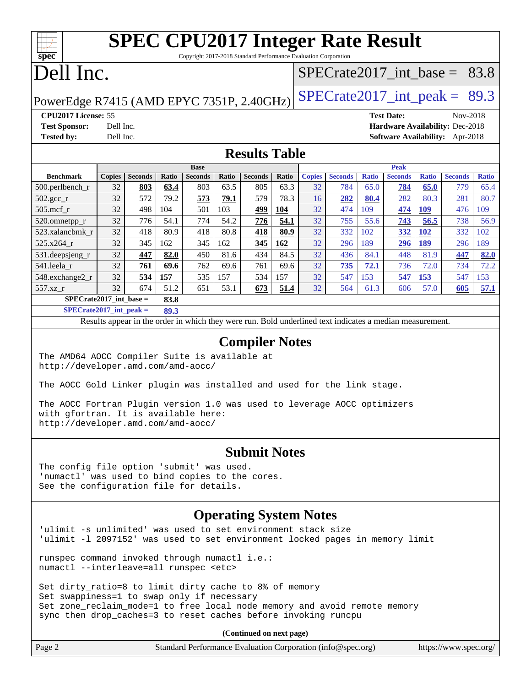# **[SPEC CPU2017 Integer Rate Result](http://www.spec.org/auto/cpu2017/Docs/result-fields.html#SPECCPU2017IntegerRateResult)**

Copyright 2017-2018 Standard Performance Evaluation Corporation

## Dell Inc.

**[spec](http://www.spec.org/)**

 $\pm\pm\prime$ 

### SPECrate2017 int\_base =  $83.8$

PowerEdge R7415 (AMD EPYC 7351P, 2.40GHz)  $\text{SPECrate}2017\_int\_peak = 89.3$ 

**[CPU2017 License:](http://www.spec.org/auto/cpu2017/Docs/result-fields.html#CPU2017License)** 55 **[Test Date:](http://www.spec.org/auto/cpu2017/Docs/result-fields.html#TestDate)** Nov-2018 **[Test Sponsor:](http://www.spec.org/auto/cpu2017/Docs/result-fields.html#TestSponsor)** Dell Inc. **[Hardware Availability:](http://www.spec.org/auto/cpu2017/Docs/result-fields.html#HardwareAvailability)** Dec-2018 **[Tested by:](http://www.spec.org/auto/cpu2017/Docs/result-fields.html#Testedby)** Dell Inc. **[Software Availability:](http://www.spec.org/auto/cpu2017/Docs/result-fields.html#SoftwareAvailability)** Apr-2018

#### **[Results Table](http://www.spec.org/auto/cpu2017/Docs/result-fields.html#ResultsTable)**

|                    | <b>Base</b>                       |                |              |                |              | <b>Peak</b>    |       |               |                |              |                |              |                |              |
|--------------------|-----------------------------------|----------------|--------------|----------------|--------------|----------------|-------|---------------|----------------|--------------|----------------|--------------|----------------|--------------|
| <b>Benchmark</b>   | <b>Copies</b>                     | <b>Seconds</b> | <b>Ratio</b> | <b>Seconds</b> | <b>Ratio</b> | <b>Seconds</b> | Ratio | <b>Copies</b> | <b>Seconds</b> | <b>Ratio</b> | <b>Seconds</b> | <b>Ratio</b> | <b>Seconds</b> | <b>Ratio</b> |
| $500$ .perlbench r | 32                                | 803            | 63.4         | 803            | 63.5         | 805            | 63.3  | 32            | 784            | 65.0         | 784            | 65.0         | 779            | 65.4         |
| $502.\text{gcc}$   | 32                                | 572            | 79.2         | 573            | 79.1         | 579            | 78.3  | 16            | 282            | 80.4         | 282            | 80.3         | 281            | 80.7         |
| $505$ .mcf r       | 32                                | 498            | 104          | 501            | 103          | 499            | 104   | 32            | 474            | 109          | 474            | 109          | 476            | 109          |
| 520.omnetpp_r      | 32                                | 776            | 54.1         | 774            | 54.2         | 776            | 54.1  | 32            | 755            | 55.6         | 743            | 56.5         | 738            | 56.9         |
| 523.xalancbmk r    | 32                                | 418            | 80.9         | 418            | 80.8         | 418            | 80.9  | 32            | 332            | 102          | 332            | <b>102</b>   | 332            | 102          |
| 525.x264 r         | 32                                | 345            | 162          | 345            | 162          | 345            | 162   | 32            | 296            | 189          | 296            | 189          | 296            | 189          |
| 531.deepsjeng_r    | 32                                | 447            | 82.0         | 450            | 81.6         | 434            | 84.5  | 32            | 436            | 84.1         | 448            | 81.9         | 447            | 82.0         |
| 541.leela r        | 32                                | 761            | 69.6         | 762            | 69.6         | 761            | 69.6  | 32            | 735            | 72.1         | 736            | 72.0         | 734            | 72.2         |
| 548.exchange2_r    | 32                                | 534            | 157          | 535            | 157          | 534            | 157   | 32            | 547            | 153          | 547            | 153          | 547            | 153          |
| $557.xz$ r         | 32                                | 674            | 51.2         | 651            | 53.1         | 673            | 51.4  | 32            | 564            | 61.3         | 606            | 57.0         | 605            | 57.1         |
|                    | $SPECrate2017$ int base =<br>83.8 |                |              |                |              |                |       |               |                |              |                |              |                |              |

**[SPECrate2017\\_int\\_peak =](http://www.spec.org/auto/cpu2017/Docs/result-fields.html#SPECrate2017intpeak) 89.3**

Results appear in the [order in which they were run.](http://www.spec.org/auto/cpu2017/Docs/result-fields.html#RunOrder) Bold underlined text [indicates a median measurement.](http://www.spec.org/auto/cpu2017/Docs/result-fields.html#Median)

#### **[Compiler Notes](http://www.spec.org/auto/cpu2017/Docs/result-fields.html#CompilerNotes)**

The AMD64 AOCC Compiler Suite is available at <http://developer.amd.com/amd-aocc/>

The AOCC Gold Linker plugin was installed and used for the link stage.

The AOCC Fortran Plugin version 1.0 was used to leverage AOCC optimizers with gfortran. It is available here: <http://developer.amd.com/amd-aocc/>

#### **[Submit Notes](http://www.spec.org/auto/cpu2017/Docs/result-fields.html#SubmitNotes)**

The config file option 'submit' was used. 'numactl' was used to bind copies to the cores. See the configuration file for details.

#### **[Operating System Notes](http://www.spec.org/auto/cpu2017/Docs/result-fields.html#OperatingSystemNotes)**

'ulimit -s unlimited' was used to set environment stack size 'ulimit -l 2097152' was used to set environment locked pages in memory limit

runspec command invoked through numactl i.e.: numactl --interleave=all runspec <etc>

Set dirty\_ratio=8 to limit dirty cache to 8% of memory Set swappiness=1 to swap only if necessary Set zone\_reclaim\_mode=1 to free local node memory and avoid remote memory sync then drop\_caches=3 to reset caches before invoking runcpu

**(Continued on next page)**

| Page 2 | Standard Performance Evaluation Corporation (info@spec.org) | https://www.spec.org/ |
|--------|-------------------------------------------------------------|-----------------------|
|--------|-------------------------------------------------------------|-----------------------|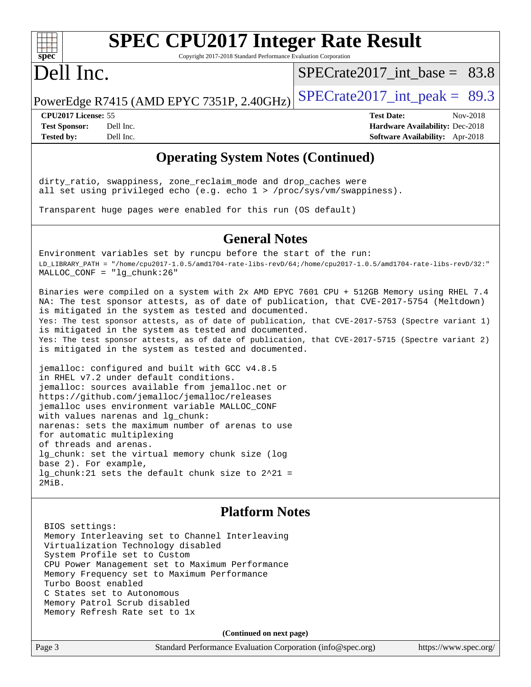

# **[SPEC CPU2017 Integer Rate Result](http://www.spec.org/auto/cpu2017/Docs/result-fields.html#SPECCPU2017IntegerRateResult)**

Copyright 2017-2018 Standard Performance Evaluation Corporation

## Dell Inc.

[SPECrate2017\\_int\\_base =](http://www.spec.org/auto/cpu2017/Docs/result-fields.html#SPECrate2017intbase) 83.8

PowerEdge R7415 (AMD EPYC 7351P, 2.40GHz)  $\text{SPECrate}2017\_int\_peak = 89.3$ 

**[CPU2017 License:](http://www.spec.org/auto/cpu2017/Docs/result-fields.html#CPU2017License)** 55 **[Test Date:](http://www.spec.org/auto/cpu2017/Docs/result-fields.html#TestDate)** Nov-2018 **[Test Sponsor:](http://www.spec.org/auto/cpu2017/Docs/result-fields.html#TestSponsor)** Dell Inc. **[Hardware Availability:](http://www.spec.org/auto/cpu2017/Docs/result-fields.html#HardwareAvailability)** Dec-2018 **[Tested by:](http://www.spec.org/auto/cpu2017/Docs/result-fields.html#Testedby)** Dell Inc. **[Software Availability:](http://www.spec.org/auto/cpu2017/Docs/result-fields.html#SoftwareAvailability)** Apr-2018

#### **[Operating System Notes \(Continued\)](http://www.spec.org/auto/cpu2017/Docs/result-fields.html#OperatingSystemNotes)**

dirty\_ratio, swappiness, zone\_reclaim\_mode and drop\_caches were all set using privileged echo (e.g. echo 1 > /proc/sys/vm/swappiness).

Transparent huge pages were enabled for this run (OS default)

#### **[General Notes](http://www.spec.org/auto/cpu2017/Docs/result-fields.html#GeneralNotes)**

Environment variables set by runcpu before the start of the run: LD\_LIBRARY\_PATH = "/home/cpu2017-1.0.5/amd1704-rate-libs-revD/64;/home/cpu2017-1.0.5/amd1704-rate-libs-revD/32:" MALLOC\_CONF = "lg\_chunk:26"

Binaries were compiled on a system with 2x AMD EPYC 7601 CPU + 512GB Memory using RHEL 7.4 NA: The test sponsor attests, as of date of publication, that CVE-2017-5754 (Meltdown) is mitigated in the system as tested and documented. Yes: The test sponsor attests, as of date of publication, that CVE-2017-5753 (Spectre variant 1) is mitigated in the system as tested and documented. Yes: The test sponsor attests, as of date of publication, that CVE-2017-5715 (Spectre variant 2) is mitigated in the system as tested and documented.

jemalloc: configured and built with GCC v4.8.5 in RHEL v7.2 under default conditions. jemalloc: sources available from jemalloc.net or <https://github.com/jemalloc/jemalloc/releases> jemalloc uses environment variable MALLOC\_CONF with values narenas and lg\_chunk: narenas: sets the maximum number of arenas to use for automatic multiplexing of threads and arenas. lg\_chunk: set the virtual memory chunk size (log base 2). For example, lg\_chunk:21 sets the default chunk size to 2^21 = 2MiB.

#### **[Platform Notes](http://www.spec.org/auto/cpu2017/Docs/result-fields.html#PlatformNotes)**

 BIOS settings: Memory Interleaving set to Channel Interleaving Virtualization Technology disabled System Profile set to Custom CPU Power Management set to Maximum Performance Memory Frequency set to Maximum Performance Turbo Boost enabled C States set to Autonomous Memory Patrol Scrub disabled Memory Refresh Rate set to 1x

**(Continued on next page)**

Page 3 Standard Performance Evaluation Corporation [\(info@spec.org\)](mailto:info@spec.org) <https://www.spec.org/>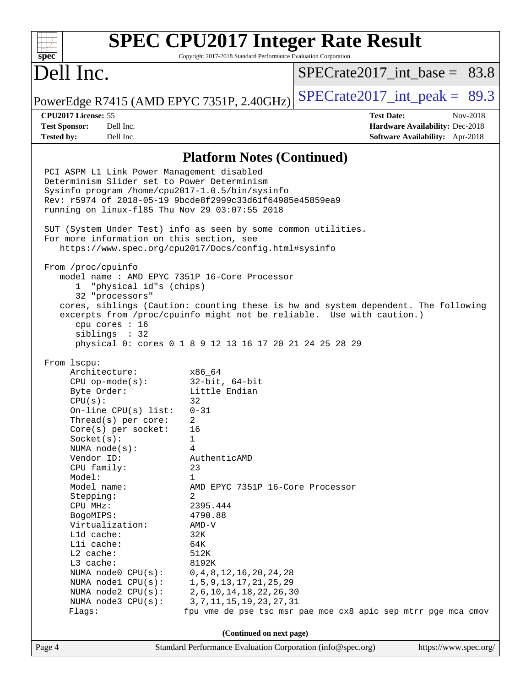#### **[SPEC CPU2017 Integer Rate Result](http://www.spec.org/auto/cpu2017/Docs/result-fields.html#SPECCPU2017IntegerRateResult)**  $+\ +$ **[spec](http://www.spec.org/)** Copyright 2017-2018 Standard Performance Evaluation Corporation Dell Inc. SPECrate2017 int\_base =  $83.8$ PowerEdge R7415 (AMD EPYC 7351P, 2.40GHz)  $\text{SPECrate2017\_int\_peak} = 89.3$ **[CPU2017 License:](http://www.spec.org/auto/cpu2017/Docs/result-fields.html#CPU2017License)** 55 **[Test Date:](http://www.spec.org/auto/cpu2017/Docs/result-fields.html#TestDate)** Nov-2018 **[Test Sponsor:](http://www.spec.org/auto/cpu2017/Docs/result-fields.html#TestSponsor)** Dell Inc. **[Hardware Availability:](http://www.spec.org/auto/cpu2017/Docs/result-fields.html#HardwareAvailability)** Dec-2018 **[Tested by:](http://www.spec.org/auto/cpu2017/Docs/result-fields.html#Testedby)** Dell Inc. **[Software Availability:](http://www.spec.org/auto/cpu2017/Docs/result-fields.html#SoftwareAvailability)** Apr-2018 **[Platform Notes \(Continued\)](http://www.spec.org/auto/cpu2017/Docs/result-fields.html#PlatformNotes)** PCI ASPM L1 Link Power Management disabled Determinism Slider set to Power Determinism Sysinfo program /home/cpu2017-1.0.5/bin/sysinfo Rev: r5974 of 2018-05-19 9bcde8f2999c33d61f64985e45859ea9 running on linux-fl85 Thu Nov 29 03:07:55 2018 SUT (System Under Test) info as seen by some common utilities. For more information on this section, see <https://www.spec.org/cpu2017/Docs/config.html#sysinfo> From /proc/cpuinfo model name : AMD EPYC 7351P 16-Core Processor 1 "physical id"s (chips) 32 "processors" cores, siblings (Caution: counting these is hw and system dependent. The following excerpts from /proc/cpuinfo might not be reliable. Use with caution.) cpu cores : 16 siblings : 32 physical 0: cores 0 1 8 9 12 13 16 17 20 21 24 25 28 29 From lscpu: Architecture: x86\_64 CPU op-mode(s): 32-bit, 64-bit Byte Order: Little Endian  $CPU(s):$  32 On-line CPU(s) list: 0-31 Thread(s) per core: 2 Core(s) per socket: 16 Socket(s): 1 NUMA node(s): 4 Vendor ID: AuthenticAMD CPU family: 23 Model: 1 Model name: AMD EPYC 7351P 16-Core Processor Stepping: 2 CPU MHz: 2395.444 BogoMIPS: 4790.88 Virtualization: AMD-V L1d cache: 32K L1i cache: 64K L2 cache: 512K L3 cache: 8192K NUMA node0 CPU(s): 0,4,8,12,16,20,24,28 NUMA node1 CPU(s): 1,5,9,13,17,21,25,29 NUMA node2 CPU(s): 2,6,10,14,18,22,26,30 NUMA node3 CPU(s): 3,7,11,15,19,23,27,31 Flags: fpu vme de pse tsc msr pae mce cx8 apic sep mtrr pge mca cmov **(Continued on next page)**Page 4 Standard Performance Evaluation Corporation [\(info@spec.org\)](mailto:info@spec.org) <https://www.spec.org/>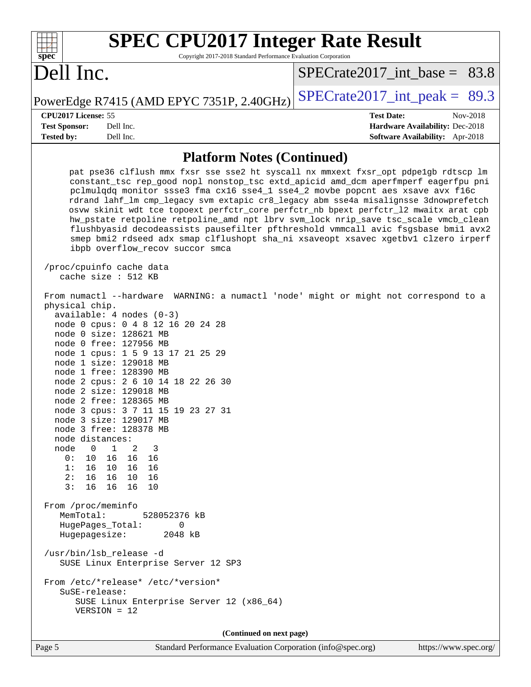| $spec^*$                        | <b>SPEC CPU2017 Integer Rate Result</b><br>Copyright 2017-2018 Standard Performance Evaluation Corporation                                                                                                  |                                                                                                                                                                                                                                                                                                                                                                                                                                                                                                                                                                                                                           |
|---------------------------------|-------------------------------------------------------------------------------------------------------------------------------------------------------------------------------------------------------------|---------------------------------------------------------------------------------------------------------------------------------------------------------------------------------------------------------------------------------------------------------------------------------------------------------------------------------------------------------------------------------------------------------------------------------------------------------------------------------------------------------------------------------------------------------------------------------------------------------------------------|
| Dell Inc.                       |                                                                                                                                                                                                             | SPECrate2017 int base = $83.8$                                                                                                                                                                                                                                                                                                                                                                                                                                                                                                                                                                                            |
|                                 | PowerEdge R7415 (AMD EPYC 7351P, 2.40GHz)                                                                                                                                                                   | $SPECTate2017\_int\_peak = 89.3$                                                                                                                                                                                                                                                                                                                                                                                                                                                                                                                                                                                          |
| CPU <sub>2017</sub> License: 55 |                                                                                                                                                                                                             | Nov-2018<br><b>Test Date:</b>                                                                                                                                                                                                                                                                                                                                                                                                                                                                                                                                                                                             |
| <b>Test Sponsor:</b>            | Dell Inc.                                                                                                                                                                                                   | <b>Hardware Availability: Dec-2018</b>                                                                                                                                                                                                                                                                                                                                                                                                                                                                                                                                                                                    |
| <b>Tested by:</b>               | Dell Inc.                                                                                                                                                                                                   | <b>Software Availability:</b> Apr-2018                                                                                                                                                                                                                                                                                                                                                                                                                                                                                                                                                                                    |
|                                 | <b>Platform Notes (Continued)</b><br>pclmulqdq monitor ssse3 fma cx16 sse4_1 sse4_2 movbe popcnt aes xsave avx f16c<br>ibpb overflow_recov succor smca<br>/proc/cpuinfo cache data<br>cache size $: 512$ KB | pat pse36 clflush mmx fxsr sse sse2 ht syscall nx mmxext fxsr opt pdpelgb rdtscp lm<br>constant tsc rep good nopl nonstop tsc extd apicid amd dcm aperfmperf eagerfpu pni<br>rdrand lahf_lm cmp_legacy svm extapic cr8_legacy abm sse4a misalignsse 3dnowprefetch<br>osvw skinit wdt tce topoext perfctr_core perfctr_nb bpext perfctr_12 mwaitx arat cpb<br>hw_pstate retpoline retpoline_amd npt lbrv svm_lock nrip_save tsc_scale vmcb_clean<br>flushbyasid decodeassists pausefilter pfthreshold vmmcall avic fsgsbase bmil avx2<br>smep bmi2 rdseed adx smap clflushopt sha_ni xsaveopt xsavec xgetbvl clzero irperf |
| physical chip.                  | From numactl --hardware WARNING: a numactl 'node' might or might not correspond to a                                                                                                                        |                                                                                                                                                                                                                                                                                                                                                                                                                                                                                                                                                                                                                           |

| biilercar ciith.                                                                                                                       |
|----------------------------------------------------------------------------------------------------------------------------------------|
| $available: 4 nodes (0-3)$                                                                                                             |
| node 0 cpus: 0 4 8 12 16 20 24 28                                                                                                      |
| node 0 size: 128621 MB<br>node 0 free: 127956 MB                                                                                       |
|                                                                                                                                        |
| node 1 cpus: 1 5 9 13 17 21 25 29<br>node 1 size: 129018 MB                                                                            |
| node 1 free: 128390 MB                                                                                                                 |
| node 2 cpus: 2 6 10 14 18 22 26 30                                                                                                     |
| node 2 size: 129018 MB                                                                                                                 |
| node 2 free: 128365 MB                                                                                                                 |
| node 3 cpus: 3 7 11 15 19 23 27 31                                                                                                     |
| node 3 size: 129017 MB                                                                                                                 |
| node 3 free: 128378 MB                                                                                                                 |
| node distances:                                                                                                                        |
| node 0 1 2 3                                                                                                                           |
| 0: 10 16 16 16                                                                                                                         |
| 1: 16 10 16 16                                                                                                                         |
| 2: 16 16 10<br>16                                                                                                                      |
| 3: 16 16 16<br>10                                                                                                                      |
| From /proc/meminfo<br>MemTotal:<br>528052376 kB<br>HugePages_Total:<br>$\Omega$<br>Hugepagesize:<br>2048 kB<br>/usr/bin/lsb_release -d |
| SUSE Linux Enterprise Server 12 SP3                                                                                                    |
| From /etc/*release* /etc/*version*<br>$S$ uSE-release:<br>SUSE Linux Enterprise Server 12 (x86_64)<br>$VERSION = 12$                   |
| (Continued on next page)                                                                                                               |
|                                                                                                                                        |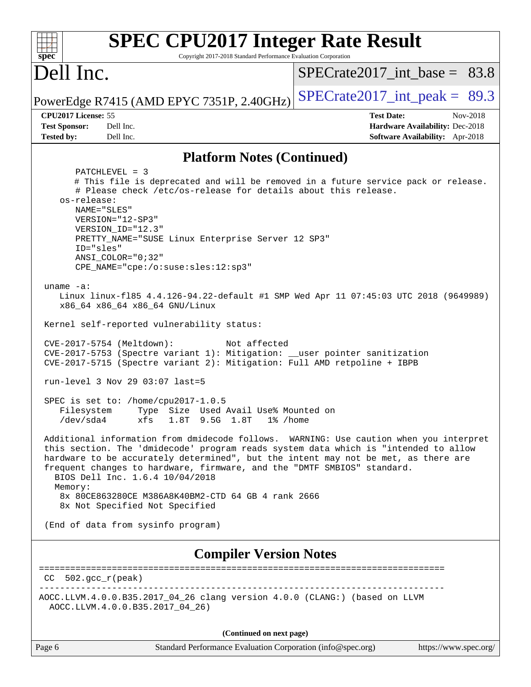| <b>SPEC CPU2017 Integer Rate Result</b><br>$spec^*$<br>Copyright 2017-2018 Standard Performance Evaluation Corporation                                                                                                                                                                                                                                                                                                                                                                                                                                                                                                                                                                                                                                                                                                                                                                                                                                                                                                                                                                                                                                                                                                                                                                                                                                                                                                                                                                                                |                                                                                                            |
|-----------------------------------------------------------------------------------------------------------------------------------------------------------------------------------------------------------------------------------------------------------------------------------------------------------------------------------------------------------------------------------------------------------------------------------------------------------------------------------------------------------------------------------------------------------------------------------------------------------------------------------------------------------------------------------------------------------------------------------------------------------------------------------------------------------------------------------------------------------------------------------------------------------------------------------------------------------------------------------------------------------------------------------------------------------------------------------------------------------------------------------------------------------------------------------------------------------------------------------------------------------------------------------------------------------------------------------------------------------------------------------------------------------------------------------------------------------------------------------------------------------------------|------------------------------------------------------------------------------------------------------------|
| Dell Inc.                                                                                                                                                                                                                                                                                                                                                                                                                                                                                                                                                                                                                                                                                                                                                                                                                                                                                                                                                                                                                                                                                                                                                                                                                                                                                                                                                                                                                                                                                                             | $SPECTate2017$ _int_base = 83.8                                                                            |
| PowerEdge R7415 (AMD EPYC 7351P, 2.40GHz)                                                                                                                                                                                                                                                                                                                                                                                                                                                                                                                                                                                                                                                                                                                                                                                                                                                                                                                                                                                                                                                                                                                                                                                                                                                                                                                                                                                                                                                                             | $SPECTate2017\_int\_peak = 89.3$                                                                           |
| CPU2017 License: 55<br><b>Test Sponsor:</b><br>Dell Inc.<br><b>Tested by:</b><br>Dell Inc.                                                                                                                                                                                                                                                                                                                                                                                                                                                                                                                                                                                                                                                                                                                                                                                                                                                                                                                                                                                                                                                                                                                                                                                                                                                                                                                                                                                                                            | <b>Test Date:</b><br>Nov-2018<br>Hardware Availability: Dec-2018<br><b>Software Availability:</b> Apr-2018 |
| <b>Platform Notes (Continued)</b>                                                                                                                                                                                                                                                                                                                                                                                                                                                                                                                                                                                                                                                                                                                                                                                                                                                                                                                                                                                                                                                                                                                                                                                                                                                                                                                                                                                                                                                                                     |                                                                                                            |
| $PATCHLEVEL = 3$<br># This file is deprecated and will be removed in a future service pack or release.<br># Please check /etc/os-release for details about this release.<br>os-release:<br>NAME="SLES"<br>VERSION="12-SP3"<br>VERSION_ID="12.3"<br>PRETTY_NAME="SUSE Linux Enterprise Server 12 SP3"<br>ID="sles"<br>$ANSI$ _COLOR=" $0:32$ "<br>CPE_NAME="cpe:/o:suse:sles:12:sp3"<br>uname $-a$ :<br>Linux linux-f185 4.4.126-94.22-default #1 SMP Wed Apr 11 07:45:03 UTC 2018 (9649989)<br>x86_64 x86_64 x86_64 GNU/Linux<br>Kernel self-reported vulnerability status:<br>CVE-2017-5754 (Meltdown):<br>Not affected<br>CVE-2017-5753 (Spectre variant 1): Mitigation: __user pointer sanitization<br>CVE-2017-5715 (Spectre variant 2): Mitigation: Full AMD retpoline + IBPB<br>run-level 3 Nov 29 03:07 last=5<br>SPEC is set to: /home/cpu2017-1.0.5<br>Type Size Used Avail Use% Mounted on<br>Filesystem<br>$/\text{dev}/\text{sd}a4$<br>1.8T 9.5G 1.8T<br>xfs<br>$1\%$ /home<br>Additional information from dmidecode follows. WARNING: Use caution when you interpret<br>this section. The 'dmidecode' program reads system data which is "intended to allow<br>hardware to be accurately determined", but the intent may not be met, as there are<br>frequent changes to hardware, firmware, and the "DMTF SMBIOS" standard.<br>BIOS Dell Inc. 1.6.4 10/04/2018<br>Memory:<br>8x 80CE863280CE M386A8K40BM2-CTD 64 GB 4 rank 2666<br>8x Not Specified Not Specified<br>(End of data from sysinfo program) |                                                                                                            |
| <b>Compiler Version Notes</b>                                                                                                                                                                                                                                                                                                                                                                                                                                                                                                                                                                                                                                                                                                                                                                                                                                                                                                                                                                                                                                                                                                                                                                                                                                                                                                                                                                                                                                                                                         |                                                                                                            |
| $CC 502.gcc_r (peak)$                                                                                                                                                                                                                                                                                                                                                                                                                                                                                                                                                                                                                                                                                                                                                                                                                                                                                                                                                                                                                                                                                                                                                                                                                                                                                                                                                                                                                                                                                                 |                                                                                                            |
| AOCC.LLVM.4.0.0.B35.2017_04_26 clang version 4.0.0 (CLANG:) (based on LLVM<br>AOCC.LLVM.4.0.0.B35.2017_04_26)                                                                                                                                                                                                                                                                                                                                                                                                                                                                                                                                                                                                                                                                                                                                                                                                                                                                                                                                                                                                                                                                                                                                                                                                                                                                                                                                                                                                         |                                                                                                            |
| (Continued on next page)                                                                                                                                                                                                                                                                                                                                                                                                                                                                                                                                                                                                                                                                                                                                                                                                                                                                                                                                                                                                                                                                                                                                                                                                                                                                                                                                                                                                                                                                                              |                                                                                                            |

| Page<br>n |  |
|-----------|--|
|           |  |

Standard Performance Evaluation Corporation [\(info@spec.org\)](mailto:info@spec.org) <https://www.spec.org/>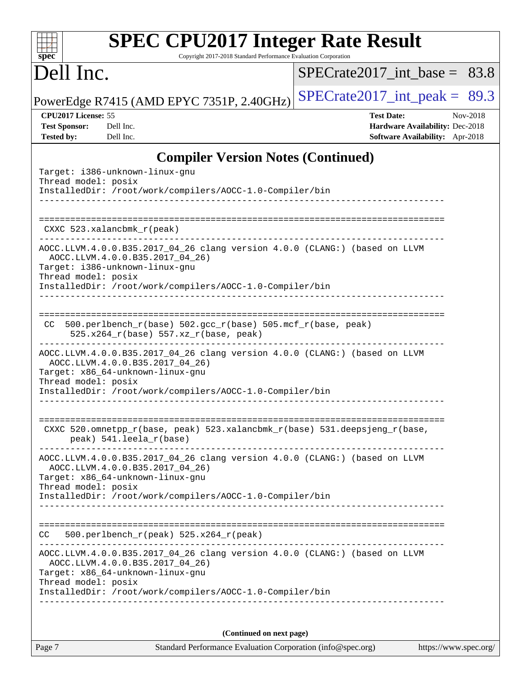# **[SPEC CPU2017 Integer Rate Result](http://www.spec.org/auto/cpu2017/Docs/result-fields.html#SPECCPU2017IntegerRateResult)**

Copyright 2017-2018 Standard Performance Evaluation Corporation

## Dell Inc.

**[spec](http://www.spec.org/)**

[SPECrate2017\\_int\\_base =](http://www.spec.org/auto/cpu2017/Docs/result-fields.html#SPECrate2017intbase) 83.8

PowerEdge R7415 (AMD EPYC 7351P, 2.40GHz) [SPECrate2017\\_int\\_peak =](http://www.spec.org/auto/cpu2017/Docs/result-fields.html#SPECrate2017intpeak)  $89.3$ 

**[CPU2017 License:](http://www.spec.org/auto/cpu2017/Docs/result-fields.html#CPU2017License)** 55 **[Test Date:](http://www.spec.org/auto/cpu2017/Docs/result-fields.html#TestDate)** Nov-2018 **[Test Sponsor:](http://www.spec.org/auto/cpu2017/Docs/result-fields.html#TestSponsor)** Dell Inc. **[Hardware Availability:](http://www.spec.org/auto/cpu2017/Docs/result-fields.html#HardwareAvailability)** Dec-2018 **[Tested by:](http://www.spec.org/auto/cpu2017/Docs/result-fields.html#Testedby)** Dell Inc. **[Software Availability:](http://www.spec.org/auto/cpu2017/Docs/result-fields.html#SoftwareAvailability)** Apr-2018

#### **[Compiler Version Notes \(Continued\)](http://www.spec.org/auto/cpu2017/Docs/result-fields.html#CompilerVersionNotes)**

| Target: i386-unknown-linux-gnu<br>Thread model: posix<br>InstalledDir: /root/work/compilers/AOCC-1.0-Compiler/bin                                                                                                                                                              |
|--------------------------------------------------------------------------------------------------------------------------------------------------------------------------------------------------------------------------------------------------------------------------------|
|                                                                                                                                                                                                                                                                                |
| CXXC 523.xalancbmk_r(peak)<br>---------------------------                                                                                                                                                                                                                      |
| AOCC.LLVM.4.0.0.B35.2017_04_26 clang version 4.0.0 (CLANG:) (based on LLVM<br>AOCC.LLVM.4.0.0.B35.2017 04 26)<br>Target: i386-unknown-linux-gnu<br>Thread model: posix<br>InstalledDir: /root/work/compilers/AOCC-1.0-Compiler/bin                                             |
| CC 500.perlbench_r(base) 502.gcc_r(base) 505.mcf_r(base, peak)<br>525.x264_r(base) 557.xz_r(base, peak)                                                                                                                                                                        |
| AOCC.LLVM.4.0.0.B35.2017_04_26 clang version 4.0.0 (CLANG:) (based on LLVM<br>AOCC.LLVM.4.0.0.B35.2017_04_26)<br>Target: x86_64-unknown-linux-gnu<br>Thread model: posix<br>InstalledDir: /root/work/compilers/AOCC-1.0-Compiler/bin                                           |
| CXXC 520.omnetpp_r(base, peak) 523.xalancbmk_r(base) 531.deepsjeng_r(base,<br>peak) 541.leela_r(base)                                                                                                                                                                          |
| AOCC.LLVM.4.0.0.B35.2017_04_26 clang version 4.0.0 (CLANG:) (based on LLVM<br>AOCC.LLVM.4.0.0.B35.2017_04_26)<br>Target: x86_64-unknown-linux-gnu<br>Thread model: posix<br>InstalledDir: /root/work/compilers/AOCC-1.0-Compiler/bin                                           |
| $500. perlbench_r (peak) 525.x264_r (peak)$<br>CC.                                                                                                                                                                                                                             |
| ______________________________________<br>AOCC.LLVM.4.0.0.B35.2017_04_26 clang version 4.0.0 (CLANG:) (based on LLVM<br>AOCC.LLVM.4.0.0.B35.2017_04_26)<br>Target: x86 64-unknown-linux-gnu<br>Thread model: posix<br>InstalledDir: /root/work/compilers/AOCC-1.0-Compiler/bin |
| (Continued on next page)                                                                                                                                                                                                                                                       |

Page 7 Standard Performance Evaluation Corporation [\(info@spec.org\)](mailto:info@spec.org) <https://www.spec.org/>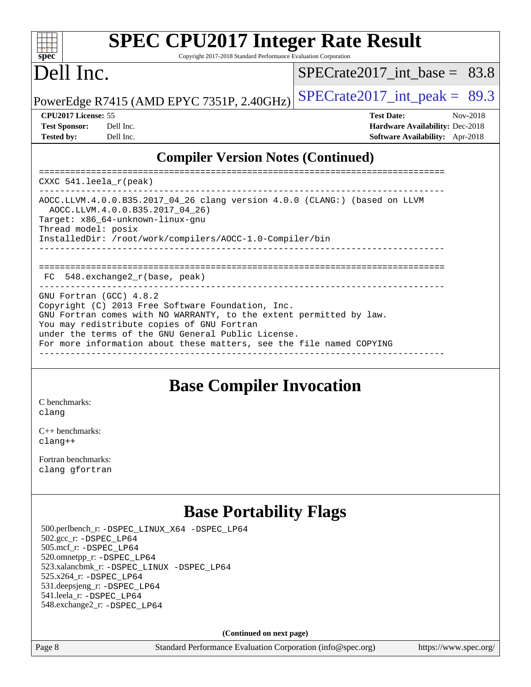#### $+\ +$ **[spec](http://www.spec.org/)**

# **[SPEC CPU2017 Integer Rate Result](http://www.spec.org/auto/cpu2017/Docs/result-fields.html#SPECCPU2017IntegerRateResult)**

Copyright 2017-2018 Standard Performance Evaluation Corporation

## Dell Inc.

 $SPECTate2017$ \_int\_base = 83.8

| <b>Test Sponsor:</b> | Dell I <sub>1</sub> |
|----------------------|---------------------|
| <b>Tested by:</b>    | Dell I <sub>1</sub> |

PowerEdge R7415 (AMD EPYC 7351P, 2.40GHz)  $\left|$  [SPECrate2017\\_int\\_peak =](http://www.spec.org/auto/cpu2017/Docs/result-fields.html#SPECrate2017intpeak) 89.3

**[CPU2017 License:](http://www.spec.org/auto/cpu2017/Docs/result-fields.html#CPU2017License)** 55 **[Test Date:](http://www.spec.org/auto/cpu2017/Docs/result-fields.html#TestDate)** Nov-2018 **[Test Sponsor:](http://www.spec.org/auto/cpu2017/Docs/result-fields.html#TestSponsor) [Hardware Availability:](http://www.spec.org/auto/cpu2017/Docs/result-fields.html#HardwareAvailability)** Dec-2018 **[Tested by:](http://www.spec.org/auto/cpu2017/Docs/result-fields.html#Testedby) [Software Availability:](http://www.spec.org/auto/cpu2017/Docs/result-fields.html#SoftwareAvailability)** Apr-2018

### **[Compiler Version Notes \(Continued\)](http://www.spec.org/auto/cpu2017/Docs/result-fields.html#CompilerVersionNotes)**

============================================================================== CXXC 541.leela\_r(peak) ------------------------------------------------------------------------------ AOCC.LLVM.4.0.0.B35.2017\_04\_26 clang version 4.0.0 (CLANG:) (based on LLVM AOCC.LLVM.4.0.0.B35.2017\_04\_26) Target: x86\_64-unknown-linux-gnu Thread model: posix InstalledDir: /root/work/compilers/AOCC-1.0-Compiler/bin ------------------------------------------------------------------------------ ============================================================================== FC 548.exchange2\_r(base, peak) ------------------------------------------------------------------------------ GNU Fortran (GCC) 4.8.2 Copyright (C) 2013 Free Software Foundation, Inc. GNU Fortran comes with NO WARRANTY, to the extent permitted by law. You may redistribute copies of GNU Fortran under the terms of the GNU General Public License. For more information about these matters, see the file named COPYING ------------------------------------------------------------------------------

## **[Base Compiler Invocation](http://www.spec.org/auto/cpu2017/Docs/result-fields.html#BaseCompilerInvocation)**

[C benchmarks](http://www.spec.org/auto/cpu2017/Docs/result-fields.html#Cbenchmarks): [clang](http://www.spec.org/cpu2017/results/res2018q4/cpu2017-20181210-10154.flags.html#user_CCbase_Fclang3_a68b77bfed473bd9cdd22529af008e8306c2e3948617c8991604c1a2000ee4a73ef90dd8bc793e105fe4165a625d26dacbda4708d828ad19048918c071b363ec)

[C++ benchmarks:](http://www.spec.org/auto/cpu2017/Docs/result-fields.html#CXXbenchmarks) [clang++](http://www.spec.org/cpu2017/results/res2018q4/cpu2017-20181210-10154.flags.html#user_CXXbase_Fclang3_57a48582e5be507d19b2527b3e7d4f85d9b8669ffc9a8a0dbb9bcf949a918a58bbab411e0c4d14a3922022a3e425a90db94042683824c1806feff4324ca1000d)

[Fortran benchmarks](http://www.spec.org/auto/cpu2017/Docs/result-fields.html#Fortranbenchmarks): [clang](http://www.spec.org/cpu2017/results/res2018q4/cpu2017-20181210-10154.flags.html#user_FCbase_Fclang3_a68b77bfed473bd9cdd22529af008e8306c2e3948617c8991604c1a2000ee4a73ef90dd8bc793e105fe4165a625d26dacbda4708d828ad19048918c071b363ec) [gfortran](http://www.spec.org/cpu2017/results/res2018q4/cpu2017-20181210-10154.flags.html#user_FCbase_aocc-gfortran_128c91a56d61ddb07404721e65b8f9498c31a443dacbd3b7f212891090eca86e2d099b520f75b99e9e8ac4fdec01f4d15f0b65e47123ec4c42b0759045731a1f)

## **[Base Portability Flags](http://www.spec.org/auto/cpu2017/Docs/result-fields.html#BasePortabilityFlags)**

 500.perlbench\_r: [-DSPEC\\_LINUX\\_X64](http://www.spec.org/cpu2017/results/res2018q4/cpu2017-20181210-10154.flags.html#b500.perlbench_r_basePORTABILITY_DSPEC_LINUX_X64) [-DSPEC\\_LP64](http://www.spec.org/cpu2017/results/res2018q4/cpu2017-20181210-10154.flags.html#b500.perlbench_r_baseEXTRA_PORTABILITY_DSPEC_LP64) 502.gcc\_r: [-DSPEC\\_LP64](http://www.spec.org/cpu2017/results/res2018q4/cpu2017-20181210-10154.flags.html#suite_baseEXTRA_PORTABILITY502_gcc_r_DSPEC_LP64) 505.mcf\_r: [-DSPEC\\_LP64](http://www.spec.org/cpu2017/results/res2018q4/cpu2017-20181210-10154.flags.html#suite_baseEXTRA_PORTABILITY505_mcf_r_DSPEC_LP64) 520.omnetpp\_r: [-DSPEC\\_LP64](http://www.spec.org/cpu2017/results/res2018q4/cpu2017-20181210-10154.flags.html#suite_baseEXTRA_PORTABILITY520_omnetpp_r_DSPEC_LP64) 523.xalancbmk\_r: [-DSPEC\\_LINUX](http://www.spec.org/cpu2017/results/res2018q4/cpu2017-20181210-10154.flags.html#b523.xalancbmk_r_basePORTABILITY_DSPEC_LINUX) [-DSPEC\\_LP64](http://www.spec.org/cpu2017/results/res2018q4/cpu2017-20181210-10154.flags.html#suite_baseEXTRA_PORTABILITY523_xalancbmk_r_DSPEC_LP64) 525.x264\_r: [-DSPEC\\_LP64](http://www.spec.org/cpu2017/results/res2018q4/cpu2017-20181210-10154.flags.html#suite_baseEXTRA_PORTABILITY525_x264_r_DSPEC_LP64) 531.deepsjeng\_r: [-DSPEC\\_LP64](http://www.spec.org/cpu2017/results/res2018q4/cpu2017-20181210-10154.flags.html#suite_baseEXTRA_PORTABILITY531_deepsjeng_r_DSPEC_LP64) 541.leela\_r: [-DSPEC\\_LP64](http://www.spec.org/cpu2017/results/res2018q4/cpu2017-20181210-10154.flags.html#suite_baseEXTRA_PORTABILITY541_leela_r_DSPEC_LP64) 548.exchange2\_r: [-DSPEC\\_LP64](http://www.spec.org/cpu2017/results/res2018q4/cpu2017-20181210-10154.flags.html#suite_baseEXTRA_PORTABILITY548_exchange2_r_DSPEC_LP64)

**(Continued on next page)**

Page 8 Standard Performance Evaluation Corporation [\(info@spec.org\)](mailto:info@spec.org) <https://www.spec.org/>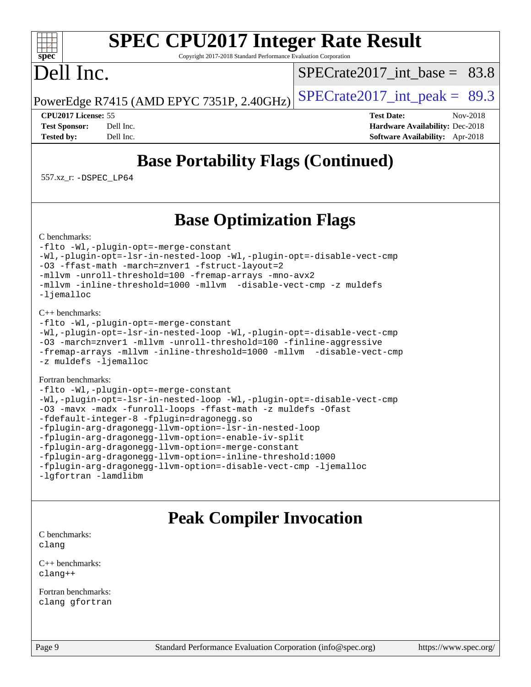#### $+\ +$ **[spec](http://www.spec.org/)**

# **[SPEC CPU2017 Integer Rate Result](http://www.spec.org/auto/cpu2017/Docs/result-fields.html#SPECCPU2017IntegerRateResult)**

Copyright 2017-2018 Standard Performance Evaluation Corporation

## Dell Inc.

SPECrate2017 int\_base =  $83.8$ 

PowerEdge R7415 (AMD EPYC 7351P, 2.40GHz)  $\left|$  [SPECrate2017\\_int\\_peak =](http://www.spec.org/auto/cpu2017/Docs/result-fields.html#SPECrate2017intpeak) 89.3

**[CPU2017 License:](http://www.spec.org/auto/cpu2017/Docs/result-fields.html#CPU2017License)** 55 **[Test Date:](http://www.spec.org/auto/cpu2017/Docs/result-fields.html#TestDate)** Nov-2018 **[Test Sponsor:](http://www.spec.org/auto/cpu2017/Docs/result-fields.html#TestSponsor)** Dell Inc. **[Hardware Availability:](http://www.spec.org/auto/cpu2017/Docs/result-fields.html#HardwareAvailability)** Dec-2018 **[Tested by:](http://www.spec.org/auto/cpu2017/Docs/result-fields.html#Testedby)** Dell Inc. **[Software Availability:](http://www.spec.org/auto/cpu2017/Docs/result-fields.html#SoftwareAvailability)** Apr-2018

## **[Base Portability Flags \(Continued\)](http://www.spec.org/auto/cpu2017/Docs/result-fields.html#BasePortabilityFlags)**

557.xz\_r: [-DSPEC\\_LP64](http://www.spec.org/cpu2017/results/res2018q4/cpu2017-20181210-10154.flags.html#suite_baseEXTRA_PORTABILITY557_xz_r_DSPEC_LP64)

## **[Base Optimization Flags](http://www.spec.org/auto/cpu2017/Docs/result-fields.html#BaseOptimizationFlags)**

[C benchmarks](http://www.spec.org/auto/cpu2017/Docs/result-fields.html#Cbenchmarks):

[-flto](http://www.spec.org/cpu2017/results/res2018q4/cpu2017-20181210-10154.flags.html#user_CCbase_lto) [-Wl,-plugin-opt=-merge-constant](http://www.spec.org/cpu2017/results/res2018q4/cpu2017-20181210-10154.flags.html#user_CCbase_F-merge-constant_1d79771b5442061d9c8e05556c6b0c655e6c9e66f8c6936b0129d434b6acd2b1cf1b7cd2540d1570ff636111b08a6bc36e2e61fc34531f8ef7c1a34c57be1dbb) [-Wl,-plugin-opt=-lsr-in-nested-loop](http://www.spec.org/cpu2017/results/res2018q4/cpu2017-20181210-10154.flags.html#user_CCbase_lsr-in-nested-loop_1cff93fd95162f5e77640b5271e8bed680fb62b4a8d96fb8ab217ff3244646f1fbb342e31af83c263403bbf5249c7dc7732d5c86c3eab4cc8d32dcb7a6f33ca0) [-Wl,-plugin-opt=-disable-vect-cmp](http://www.spec.org/cpu2017/results/res2018q4/cpu2017-20181210-10154.flags.html#user_CCbase_disable-vect-cmp_1056b9a09b8ddc126e023b5f99ae33179ef568835465af9b7adeacf4b6480ff575c8aee439265bcfbcbf086f33f2fa5cca2bc4cf52b64c0cd2e10f6503cba02d) [-O3](http://www.spec.org/cpu2017/results/res2018q4/cpu2017-20181210-10154.flags.html#user_CCbase_F-O3) [-ffast-math](http://www.spec.org/cpu2017/results/res2018q4/cpu2017-20181210-10154.flags.html#user_CCbase_F-aocc-ffast-math_78dd175de6534c2005829757b9b0f2878e57b067cce6f7c443b2250ac68890960e2e1b320ca04b81ff7c62c6f87870ed05f06baf7875eea2990d38e3b73c71f1) [-march=znver1](http://www.spec.org/cpu2017/results/res2018q4/cpu2017-20181210-10154.flags.html#user_CCbase_F-march) [-fstruct-layout=2](http://www.spec.org/cpu2017/results/res2018q4/cpu2017-20181210-10154.flags.html#user_CCbase_F-fstruct-layout_a05ec02e17cdf7fe0c3950a6b005251b2b1e5e67af2b5298cf72714730c3d59ba290e75546b10aa22dac074c15ceaca36ae22c62cb51bcb2fbdc9dc4e7e222c4) [-mllvm -unroll-threshold=100](http://www.spec.org/cpu2017/results/res2018q4/cpu2017-20181210-10154.flags.html#user_CCbase_F-unroll-threshold_2755d0c78138845d361fa1543e3a063fffa198df9b3edf0cfb856bbc88a81e1769b12ac7a550c5d35197be55360db1a3f95a8d1304df999456cabf5120c45168) [-fremap-arrays](http://www.spec.org/cpu2017/results/res2018q4/cpu2017-20181210-10154.flags.html#user_CCbase_F-fremap-arrays) [-mno-avx2](http://www.spec.org/cpu2017/results/res2018q4/cpu2017-20181210-10154.flags.html#user_CCbase_F-mno-avx2) [-mllvm -inline-threshold=1000](http://www.spec.org/cpu2017/results/res2018q4/cpu2017-20181210-10154.flags.html#user_CCbase_inline-threshold_b7832241b0a6397e4ecdbaf0eb7defdc10f885c2a282fa3240fdc99844d543fda39cf8a4a9dccf68cf19b5438ac3b455264f478df15da0f4988afa40d8243bab) [-mllvm -disable-vect-cmp](http://www.spec.org/cpu2017/results/res2018q4/cpu2017-20181210-10154.flags.html#user_CCbase_disable-vect-cmp_d995c9eb800469498c6893dc847c54c903d59847b18cb2ac22011b9af7010c96d2d48d3c6b41246fe86945001509aa4dc528afb61cb238fd3b256a31781ea0cf) [-z muldefs](http://www.spec.org/cpu2017/results/res2018q4/cpu2017-20181210-10154.flags.html#user_CCbase_F-z-muldefs) [-ljemalloc](http://www.spec.org/cpu2017/results/res2018q4/cpu2017-20181210-10154.flags.html#user_CCbase_jemalloc-lib_d1249b907c500fa1c0672f44f562e3d0f79738ae9e3c4a9c376d49f265a04b9c99b167ecedbf6711b3085be911c67ff61f150a17b3472be731631ba4d0471706)

#### [C++ benchmarks:](http://www.spec.org/auto/cpu2017/Docs/result-fields.html#CXXbenchmarks)

```
-flto -Wl,-plugin-opt=-merge-constant
-Wl,-plugin-opt=-lsr-in-nested-loop -Wl,-plugin-opt=-disable-vect-cmp
-O3 -march=znver1 -mllvm -unroll-threshold=100 -finline-aggressive
-fremap-arrays -mllvm -inline-threshold=1000 -mllvm -disable-vect-cmp
-z muldefs -ljemalloc
```
#### [Fortran benchmarks](http://www.spec.org/auto/cpu2017/Docs/result-fields.html#Fortranbenchmarks):

```
-flto -Wl,-plugin-opt=-merge-constant
-Wl,-plugin-opt=-lsr-in-nested-loop -Wl,-plugin-opt=-disable-vect-cmp
-O3 -mavx -madx -funroll-loops -ffast-math -z muldefs -Ofast
-fdefault-integer-8 -fplugin=dragonegg.so
-fplugin-arg-dragonegg-llvm-option=-lsr-in-nested-loop
-fplugin-arg-dragonegg-llvm-option=-enable-iv-split
-fplugin-arg-dragonegg-llvm-option=-merge-constant
-fplugin-arg-dragonegg-llvm-option=-inline-threshold:1000
-fplugin-arg-dragonegg-llvm-option=-disable-vect-cmp -ljemalloc
-lgfortran -lamdlibm
```
## **[Peak Compiler Invocation](http://www.spec.org/auto/cpu2017/Docs/result-fields.html#PeakCompilerInvocation)**

[C benchmarks](http://www.spec.org/auto/cpu2017/Docs/result-fields.html#Cbenchmarks): [clang](http://www.spec.org/cpu2017/results/res2018q4/cpu2017-20181210-10154.flags.html#user_CCpeak_Fclang3_a68b77bfed473bd9cdd22529af008e8306c2e3948617c8991604c1a2000ee4a73ef90dd8bc793e105fe4165a625d26dacbda4708d828ad19048918c071b363ec)

[C++ benchmarks:](http://www.spec.org/auto/cpu2017/Docs/result-fields.html#CXXbenchmarks) [clang++](http://www.spec.org/cpu2017/results/res2018q4/cpu2017-20181210-10154.flags.html#user_CXXpeak_Fclang3_57a48582e5be507d19b2527b3e7d4f85d9b8669ffc9a8a0dbb9bcf949a918a58bbab411e0c4d14a3922022a3e425a90db94042683824c1806feff4324ca1000d)

[Fortran benchmarks](http://www.spec.org/auto/cpu2017/Docs/result-fields.html#Fortranbenchmarks): [clang](http://www.spec.org/cpu2017/results/res2018q4/cpu2017-20181210-10154.flags.html#user_FCpeak_Fclang3_a68b77bfed473bd9cdd22529af008e8306c2e3948617c8991604c1a2000ee4a73ef90dd8bc793e105fe4165a625d26dacbda4708d828ad19048918c071b363ec) [gfortran](http://www.spec.org/cpu2017/results/res2018q4/cpu2017-20181210-10154.flags.html#user_FCpeak_aocc-gfortran_128c91a56d61ddb07404721e65b8f9498c31a443dacbd3b7f212891090eca86e2d099b520f75b99e9e8ac4fdec01f4d15f0b65e47123ec4c42b0759045731a1f)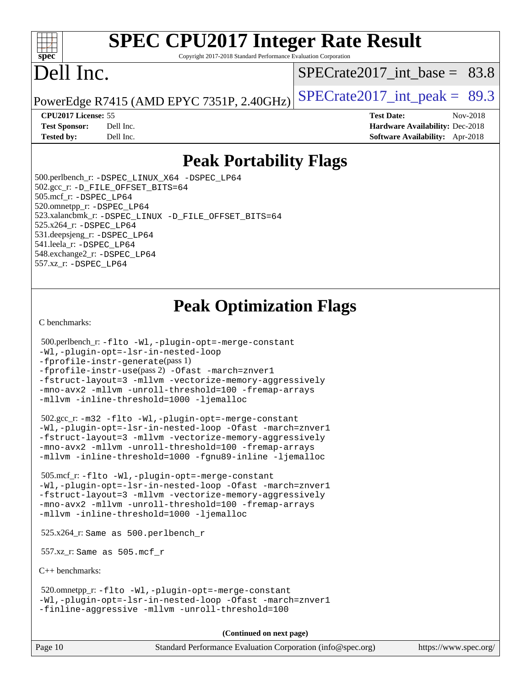#### $+\ +$ **[spec](http://www.spec.org/)**

# **[SPEC CPU2017 Integer Rate Result](http://www.spec.org/auto/cpu2017/Docs/result-fields.html#SPECCPU2017IntegerRateResult)**

Copyright 2017-2018 Standard Performance Evaluation Corporation

# Dell Inc.

[SPECrate2017\\_int\\_base =](http://www.spec.org/auto/cpu2017/Docs/result-fields.html#SPECrate2017intbase) 83.8

PowerEdge R7415 (AMD EPYC 7351P, 2.40GHz) SPECrate  $2017$ \_int\_peak = 89.3

**[CPU2017 License:](http://www.spec.org/auto/cpu2017/Docs/result-fields.html#CPU2017License)** 55 **[Test Date:](http://www.spec.org/auto/cpu2017/Docs/result-fields.html#TestDate)** Nov-2018

**[Test Sponsor:](http://www.spec.org/auto/cpu2017/Docs/result-fields.html#TestSponsor)** Dell Inc. **[Hardware Availability:](http://www.spec.org/auto/cpu2017/Docs/result-fields.html#HardwareAvailability)** Dec-2018 **[Tested by:](http://www.spec.org/auto/cpu2017/Docs/result-fields.html#Testedby)** Dell Inc. **[Software Availability:](http://www.spec.org/auto/cpu2017/Docs/result-fields.html#SoftwareAvailability)** Apr-2018

## **[Peak Portability Flags](http://www.spec.org/auto/cpu2017/Docs/result-fields.html#PeakPortabilityFlags)**

 500.perlbench\_r: [-DSPEC\\_LINUX\\_X64](http://www.spec.org/cpu2017/results/res2018q4/cpu2017-20181210-10154.flags.html#b500.perlbench_r_peakPORTABILITY_DSPEC_LINUX_X64) [-DSPEC\\_LP64](http://www.spec.org/cpu2017/results/res2018q4/cpu2017-20181210-10154.flags.html#b500.perlbench_r_peakEXTRA_PORTABILITY_DSPEC_LP64) 502.gcc\_r: [-D\\_FILE\\_OFFSET\\_BITS=64](http://www.spec.org/cpu2017/results/res2018q4/cpu2017-20181210-10154.flags.html#user_peakEXTRA_PORTABILITY502_gcc_r_F-D_FILE_OFFSET_BITS_5ae949a99b284ddf4e95728d47cb0843d81b2eb0e18bdfe74bbf0f61d0b064f4bda2f10ea5eb90e1dcab0e84dbc592acfc5018bc955c18609f94ddb8d550002c) 505.mcf\_r: [-DSPEC\\_LP64](http://www.spec.org/cpu2017/results/res2018q4/cpu2017-20181210-10154.flags.html#suite_peakEXTRA_PORTABILITY505_mcf_r_DSPEC_LP64) 520.omnetpp\_r: [-DSPEC\\_LP64](http://www.spec.org/cpu2017/results/res2018q4/cpu2017-20181210-10154.flags.html#suite_peakEXTRA_PORTABILITY520_omnetpp_r_DSPEC_LP64) 523.xalancbmk\_r: [-DSPEC\\_LINUX](http://www.spec.org/cpu2017/results/res2018q4/cpu2017-20181210-10154.flags.html#b523.xalancbmk_r_peakPORTABILITY_DSPEC_LINUX) [-D\\_FILE\\_OFFSET\\_BITS=64](http://www.spec.org/cpu2017/results/res2018q4/cpu2017-20181210-10154.flags.html#user_peakEXTRA_PORTABILITY523_xalancbmk_r_F-D_FILE_OFFSET_BITS_5ae949a99b284ddf4e95728d47cb0843d81b2eb0e18bdfe74bbf0f61d0b064f4bda2f10ea5eb90e1dcab0e84dbc592acfc5018bc955c18609f94ddb8d550002c) 525.x264\_r: [-DSPEC\\_LP64](http://www.spec.org/cpu2017/results/res2018q4/cpu2017-20181210-10154.flags.html#suite_peakEXTRA_PORTABILITY525_x264_r_DSPEC_LP64) 531.deepsjeng\_r: [-DSPEC\\_LP64](http://www.spec.org/cpu2017/results/res2018q4/cpu2017-20181210-10154.flags.html#suite_peakEXTRA_PORTABILITY531_deepsjeng_r_DSPEC_LP64) 541.leela\_r: [-DSPEC\\_LP64](http://www.spec.org/cpu2017/results/res2018q4/cpu2017-20181210-10154.flags.html#suite_peakEXTRA_PORTABILITY541_leela_r_DSPEC_LP64) 548.exchange2\_r: [-DSPEC\\_LP64](http://www.spec.org/cpu2017/results/res2018q4/cpu2017-20181210-10154.flags.html#suite_peakEXTRA_PORTABILITY548_exchange2_r_DSPEC_LP64) 557.xz\_r: [-DSPEC\\_LP64](http://www.spec.org/cpu2017/results/res2018q4/cpu2017-20181210-10154.flags.html#suite_peakEXTRA_PORTABILITY557_xz_r_DSPEC_LP64)

## **[Peak Optimization Flags](http://www.spec.org/auto/cpu2017/Docs/result-fields.html#PeakOptimizationFlags)**

[C benchmarks](http://www.spec.org/auto/cpu2017/Docs/result-fields.html#Cbenchmarks):

```
 500.perlbench_r: -flto -Wl,-plugin-opt=-merge-constant
-Wl,-plugin-opt=-lsr-in-nested-loop
-fprofile-instr-generate(pass 1)
-fprofile-instr-use(pass 2) -Ofast -march=znver1
-fstruct-layout=3 -mllvm -vectorize-memory-aggressively
-mno-avx2 -mllvm -unroll-threshold=100 -fremap-arrays
-mllvm -inline-threshold=1000 -ljemalloc
```

```
 502.gcc_r: -m32 -flto -Wl,-plugin-opt=-merge-constant
-Wl,-plugin-opt=-lsr-in-nested-loop -Ofast -march=znver1
-fstruct-layout=3 -mllvm -vectorize-memory-aggressively
-mno-avx2 -mllvm -unroll-threshold=100 -fremap-arrays
-mllvm -inline-threshold=1000 -fgnu89-inline -ljemalloc
```
 505.mcf\_r: [-flto](http://www.spec.org/cpu2017/results/res2018q4/cpu2017-20181210-10154.flags.html#user_peakCOPTIMIZEEXTRA_LDFLAGS505_mcf_r_lto) [-Wl,-plugin-opt=-merge-constant](http://www.spec.org/cpu2017/results/res2018q4/cpu2017-20181210-10154.flags.html#user_peakEXTRA_LDFLAGS505_mcf_r_F-merge-constant_1d79771b5442061d9c8e05556c6b0c655e6c9e66f8c6936b0129d434b6acd2b1cf1b7cd2540d1570ff636111b08a6bc36e2e61fc34531f8ef7c1a34c57be1dbb) [-Wl,-plugin-opt=-lsr-in-nested-loop](http://www.spec.org/cpu2017/results/res2018q4/cpu2017-20181210-10154.flags.html#user_peakEXTRA_LDFLAGS505_mcf_r_lsr-in-nested-loop_1cff93fd95162f5e77640b5271e8bed680fb62b4a8d96fb8ab217ff3244646f1fbb342e31af83c263403bbf5249c7dc7732d5c86c3eab4cc8d32dcb7a6f33ca0) [-Ofast](http://www.spec.org/cpu2017/results/res2018q4/cpu2017-20181210-10154.flags.html#user_peakCOPTIMIZE505_mcf_r_F-aocc-Ofast) [-march=znver1](http://www.spec.org/cpu2017/results/res2018q4/cpu2017-20181210-10154.flags.html#user_peakCOPTIMIZE505_mcf_r_F-march) [-fstruct-layout=3](http://www.spec.org/cpu2017/results/res2018q4/cpu2017-20181210-10154.flags.html#user_peakCOPTIMIZE505_mcf_r_F-fstruct-layout) [-mllvm -vectorize-memory-aggressively](http://www.spec.org/cpu2017/results/res2018q4/cpu2017-20181210-10154.flags.html#user_peakCOPTIMIZE505_mcf_r_vectorize-memory-aggressively_24b72a4417f50ade9e698c5b3bed87ab456cc6fc8ec6439480cb84f36ad6a3975af6e87206dea402e3871a1464ff3d60bc798e0250f330177ba629a260df1857) [-mno-avx2](http://www.spec.org/cpu2017/results/res2018q4/cpu2017-20181210-10154.flags.html#user_peakCOPTIMIZE505_mcf_r_F-mno-avx2) [-mllvm -unroll-threshold=100](http://www.spec.org/cpu2017/results/res2018q4/cpu2017-20181210-10154.flags.html#user_peakCOPTIMIZE505_mcf_r_F-unroll-threshold_2755d0c78138845d361fa1543e3a063fffa198df9b3edf0cfb856bbc88a81e1769b12ac7a550c5d35197be55360db1a3f95a8d1304df999456cabf5120c45168) [-fremap-arrays](http://www.spec.org/cpu2017/results/res2018q4/cpu2017-20181210-10154.flags.html#user_peakCOPTIMIZE505_mcf_r_F-fremap-arrays) [-mllvm -inline-threshold=1000](http://www.spec.org/cpu2017/results/res2018q4/cpu2017-20181210-10154.flags.html#user_peakCOPTIMIZE505_mcf_r_inline-threshold_b7832241b0a6397e4ecdbaf0eb7defdc10f885c2a282fa3240fdc99844d543fda39cf8a4a9dccf68cf19b5438ac3b455264f478df15da0f4988afa40d8243bab) [-ljemalloc](http://www.spec.org/cpu2017/results/res2018q4/cpu2017-20181210-10154.flags.html#user_peakEXTRA_LIBS505_mcf_r_jemalloc-lib_d1249b907c500fa1c0672f44f562e3d0f79738ae9e3c4a9c376d49f265a04b9c99b167ecedbf6711b3085be911c67ff61f150a17b3472be731631ba4d0471706)

525.x264\_r: Same as 500.perlbench\_r

557.xz\_r: Same as 505.mcf\_r

[C++ benchmarks:](http://www.spec.org/auto/cpu2017/Docs/result-fields.html#CXXbenchmarks)

 520.omnetpp\_r: [-flto](http://www.spec.org/cpu2017/results/res2018q4/cpu2017-20181210-10154.flags.html#user_peakCXXOPTIMIZEEXTRA_LDFLAGS520_omnetpp_r_lto) [-Wl,-plugin-opt=-merge-constant](http://www.spec.org/cpu2017/results/res2018q4/cpu2017-20181210-10154.flags.html#user_peakEXTRA_LDFLAGS520_omnetpp_r_F-merge-constant_1d79771b5442061d9c8e05556c6b0c655e6c9e66f8c6936b0129d434b6acd2b1cf1b7cd2540d1570ff636111b08a6bc36e2e61fc34531f8ef7c1a34c57be1dbb) [-Wl,-plugin-opt=-lsr-in-nested-loop](http://www.spec.org/cpu2017/results/res2018q4/cpu2017-20181210-10154.flags.html#user_peakEXTRA_LDFLAGS520_omnetpp_r_lsr-in-nested-loop_1cff93fd95162f5e77640b5271e8bed680fb62b4a8d96fb8ab217ff3244646f1fbb342e31af83c263403bbf5249c7dc7732d5c86c3eab4cc8d32dcb7a6f33ca0) [-Ofast](http://www.spec.org/cpu2017/results/res2018q4/cpu2017-20181210-10154.flags.html#user_peakCXXOPTIMIZE520_omnetpp_r_F-aocc-Ofast) [-march=znver1](http://www.spec.org/cpu2017/results/res2018q4/cpu2017-20181210-10154.flags.html#user_peakCXXOPTIMIZE520_omnetpp_r_F-march) [-finline-aggressive](http://www.spec.org/cpu2017/results/res2018q4/cpu2017-20181210-10154.flags.html#user_peakCXXOPTIMIZE520_omnetpp_r_F-finline-aggressive) [-mllvm -unroll-threshold=100](http://www.spec.org/cpu2017/results/res2018q4/cpu2017-20181210-10154.flags.html#user_peakCXXOPTIMIZE520_omnetpp_r_F-unroll-threshold_2755d0c78138845d361fa1543e3a063fffa198df9b3edf0cfb856bbc88a81e1769b12ac7a550c5d35197be55360db1a3f95a8d1304df999456cabf5120c45168)

**(Continued on next page)**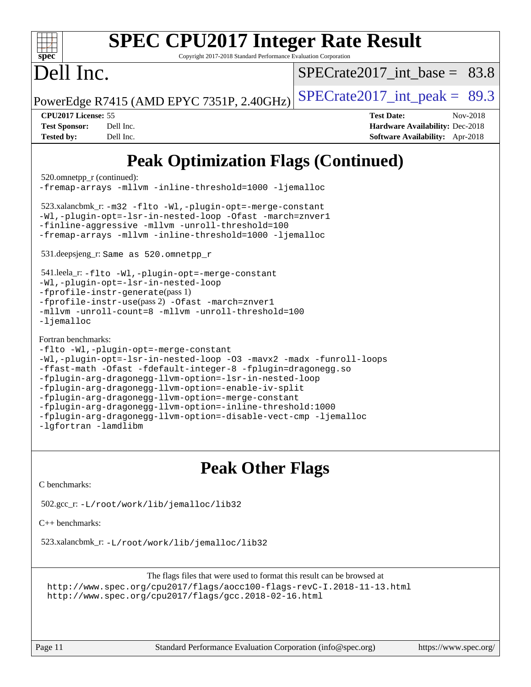| <b>SPEC CPU2017 Integer Rate Result</b><br>spec<br>Copyright 2017-2018 Standard Performance Evaluation Corporation                                                                                                                                                                                                                                                                                                                                                                                                                                                                                              |                                                                                                                   |
|-----------------------------------------------------------------------------------------------------------------------------------------------------------------------------------------------------------------------------------------------------------------------------------------------------------------------------------------------------------------------------------------------------------------------------------------------------------------------------------------------------------------------------------------------------------------------------------------------------------------|-------------------------------------------------------------------------------------------------------------------|
| Dell Inc.                                                                                                                                                                                                                                                                                                                                                                                                                                                                                                                                                                                                       | SPECrate2017 int base = $83.8$                                                                                    |
| PowerEdge R7415 (AMD EPYC 7351P, 2.40GHz)                                                                                                                                                                                                                                                                                                                                                                                                                                                                                                                                                                       | $SPECTate2017\_int\_peak = 89.3$                                                                                  |
| CPU2017 License: 55<br><b>Test Sponsor:</b><br>Dell Inc.<br><b>Tested by:</b><br>Dell Inc.                                                                                                                                                                                                                                                                                                                                                                                                                                                                                                                      | <b>Test Date:</b><br>Nov-2018<br><b>Hardware Availability: Dec-2018</b><br><b>Software Availability:</b> Apr-2018 |
| <b>Peak Optimization Flags (Continued)</b><br>520.omnetpp_r (continued):<br>-fremap-arrays -mllvm -inline-threshold=1000 -ljemalloc<br>523.xalancbmk_r: -m32 -flto -Wl,-plugin-opt=-merge-constant<br>-Wl,-plugin-opt=-lsr-in-nested-loop -Ofast -march=znver1<br>-finline-aggressive -mllvm -unroll-threshold=100<br>-fremap-arrays -mllvm -inline-threshold=1000 -ljemalloc<br>531.deepsjeng_r: Same as 520.omnetpp_r<br>541.leela_r: -flto -Wl,-plugin-opt=-merge-constant<br>-Wl,-plugin-opt=-lsr-in-nested-loop<br>$-$ fprofile-instr-generate(pass 1)<br>-fprofile-instr-use(pass 2) -Ofast -march=znver1 |                                                                                                                   |

```
Fortran benchmarks: 
-flto -Wl,-plugin-opt=-merge-constant
```
-liemalloc

```
-Wl,-plugin-opt=-lsr-in-nested-loop -O3 -mavx2 -madx -funroll-loops
-ffast-math -Ofast -fdefault-integer-8 -fplugin=dragonegg.so
-fplugin-arg-dragonegg-llvm-option=-lsr-in-nested-loop
-fplugin-arg-dragonegg-llvm-option=-enable-iv-split
-fplugin-arg-dragonegg-llvm-option=-merge-constant
-fplugin-arg-dragonegg-llvm-option=-inline-threshold:1000
-fplugin-arg-dragonegg-llvm-option=-disable-vect-cmp -ljemalloc
-lgfortran -lamdlibm
```
## **[Peak Other Flags](http://www.spec.org/auto/cpu2017/Docs/result-fields.html#PeakOtherFlags)**

[C benchmarks](http://www.spec.org/auto/cpu2017/Docs/result-fields.html#Cbenchmarks):

```
 502.gcc_r: -L/root/work/lib/jemalloc/lib32
```
[C++ benchmarks:](http://www.spec.org/auto/cpu2017/Docs/result-fields.html#CXXbenchmarks)

523.xalancbmk\_r: [-L/root/work/lib/jemalloc/lib32](http://www.spec.org/cpu2017/results/res2018q4/cpu2017-20181210-10154.flags.html#user_peakEXTRA_LIBS523_xalancbmk_r_Link_path_ed592dae44e5c1ab08e0623a53d3c5a4c6e35be404d5d0c77aec9324965777ec819518e6bc9b505d0969c714b6f83ef377306a01beedec47148c3dcded825687)

```
The flags files that were used to format this result can be browsed at
http://www.spec.org/cpu2017/flags/aocc100-flags-revC-I.2018-11-13.html
http://www.spec.org/cpu2017/flags/gcc.2018-02-16.html
```